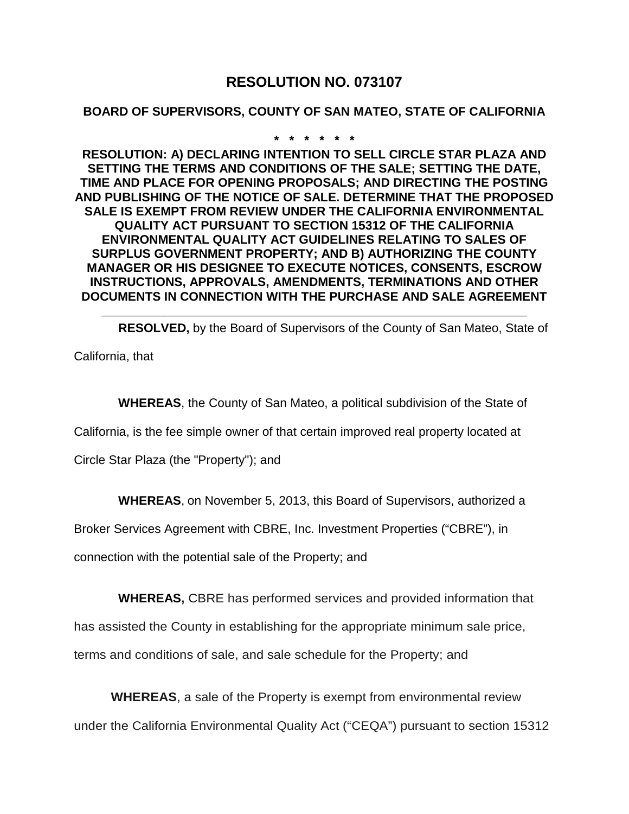# **RESOLUTION NO. 073107**

#### **BOARD OF SUPERVISORS, COUNTY OF SAN MATEO, STATE OF CALIFORNIA**

**\* \* \* \* \* \***

**RESOLUTION: A) DECLARING INTENTION TO SELL CIRCLE STAR PLAZA AND SETTING THE TERMS AND CONDITIONS OF THE SALE; SETTING THE DATE, TIME AND PLACE FOR OPENING PROPOSALS; AND DIRECTING THE POSTING AND PUBLISHING OF THE NOTICE OF SALE. DETERMINE THAT THE PROPOSED SALE IS EXEMPT FROM REVIEW UNDER THE CALIFORNIA ENVIRONMENTAL QUALITY ACT PURSUANT TO SECTION 15312 OF THE CALIFORNIA ENVIRONMENTAL QUALITY ACT GUIDELINES RELATING TO SALES OF SURPLUS GOVERNMENT PROPERTY; AND B) AUTHORIZING THE COUNTY MANAGER OR HIS DESIGNEE TO EXECUTE NOTICES, CONSENTS, ESCROW INSTRUCTIONS, APPROVALS, AMENDMENTS, TERMINATIONS AND OTHER DOCUMENTS IN CONNECTION WITH THE PURCHASE AND SALE AGREEMENT**

**\_\_\_\_\_\_\_\_\_\_\_\_\_\_\_\_\_\_\_\_\_\_\_\_\_\_\_\_\_\_\_\_\_\_\_\_\_\_\_\_\_\_\_\_\_\_\_\_\_\_\_\_\_\_\_\_\_\_\_\_\_\_**

**RESOLVED,** by the Board of Supervisors of the County of San Mateo, State of

California, that

**WHEREAS**, the County of San Mateo, a political subdivision of the State of

California, is the fee simple owner of that certain improved real property located at

Circle Star Plaza (the "Property"); and

**WHEREAS**, on November 5, 2013, this Board of Supervisors, authorized a

Broker Services Agreement with CBRE, Inc. Investment Properties ("CBRE"), in

connection with the potential sale of the Property; and

**WHEREAS,** CBRE has performed services and provided information that

has assisted the County in establishing for the appropriate minimum sale price,

terms and conditions of sale, and sale schedule for the Property; and

**WHEREAS**, a sale of the Property is exempt from environmental review under the California Environmental Quality Act ("CEQA") pursuant to section 15312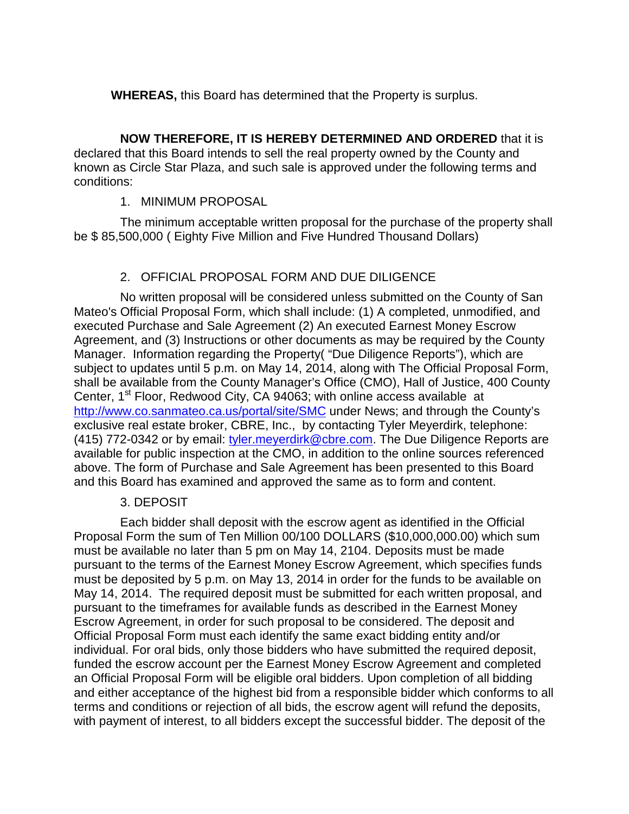**WHEREAS,** this Board has determined that the Property is surplus.

**NOW THEREFORE, IT IS HEREBY DETERMINED AND ORDERED** that it is declared that this Board intends to sell the real property owned by the County and known as Circle Star Plaza, and such sale is approved under the following terms and conditions:

#### 1. MINIMUM PROPOSAL

The minimum acceptable written proposal for the purchase of the property shall be \$ 85,500,000 ( Eighty Five Million and Five Hundred Thousand Dollars)

#### 2. OFFICIAL PROPOSAL FORM AND DUE DILIGENCE

No written proposal will be considered unless submitted on the County of San Mateo's Official Proposal Form, which shall include: (1) A completed, unmodified, and executed Purchase and Sale Agreement (2) An executed Earnest Money Escrow Agreement, and (3) Instructions or other documents as may be required by the County Manager. Information regarding the Property( "Due Diligence Reports"), which are subject to updates until 5 p.m. on May 14, 2014, along with The Official Proposal Form, shall be available from the County Manager's Office (CMO), Hall of Justice, 400 County Center, 1<sup>st</sup> Floor, Redwood City, CA 94063; with online access available at <http://www.co.sanmateo.ca.us/portal/site/SMC> under News; and through the County's exclusive real estate broker, CBRE, Inc., by contacting Tyler Meyerdirk, telephone: (415) 772-0342 or by email: [tyler.meyerdirk@cbre.com.](mailto:tyler.meyerdirk@cbre.com) The Due Diligence Reports are available for public inspection at the CMO, in addition to the online sources referenced above. The form of Purchase and Sale Agreement has been presented to this Board and this Board has examined and approved the same as to form and content.

#### 3. DEPOSIT

Each bidder shall deposit with the escrow agent as identified in the Official Proposal Form the sum of Ten Million 00/100 DOLLARS (\$10,000,000.00) which sum must be available no later than 5 pm on May 14, 2104. Deposits must be made pursuant to the terms of the Earnest Money Escrow Agreement, which specifies funds must be deposited by 5 p.m. on May 13, 2014 in order for the funds to be available on May 14, 2014. The required deposit must be submitted for each written proposal, and pursuant to the timeframes for available funds as described in the Earnest Money Escrow Agreement, in order for such proposal to be considered. The deposit and Official Proposal Form must each identify the same exact bidding entity and/or individual. For oral bids, only those bidders who have submitted the required deposit, funded the escrow account per the Earnest Money Escrow Agreement and completed an Official Proposal Form will be eligible oral bidders. Upon completion of all bidding and either acceptance of the highest bid from a responsible bidder which conforms to all terms and conditions or rejection of all bids, the escrow agent will refund the deposits, with payment of interest, to all bidders except the successful bidder. The deposit of the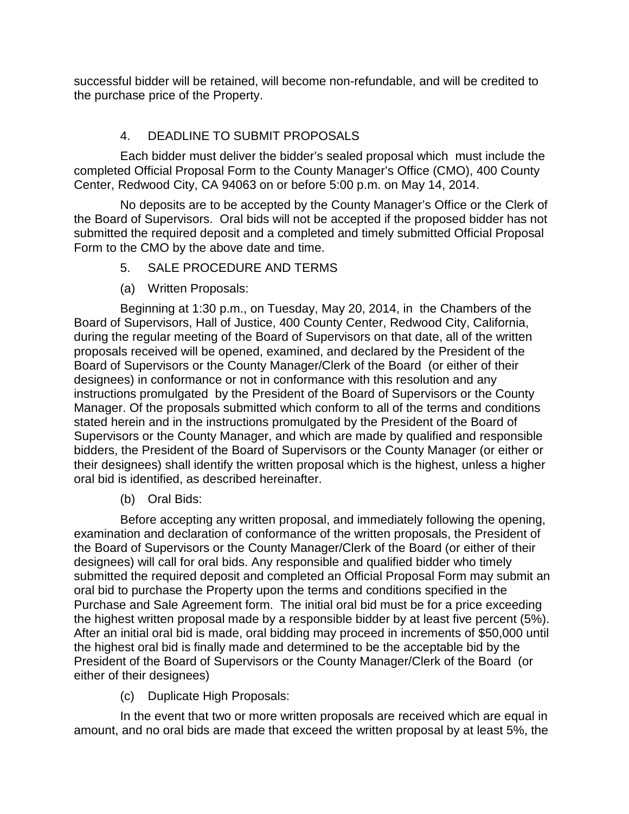successful bidder will be retained, will become non-refundable, and will be credited to the purchase price of the Property.

## 4. DEADLINE TO SUBMIT PROPOSALS

Each bidder must deliver the bidder's sealed proposal which must include the completed Official Proposal Form to the County Manager's Office (CMO), 400 County Center, Redwood City, CA 94063 on or before 5:00 p.m. on May 14, 2014.

No deposits are to be accepted by the County Manager's Office or the Clerk of the Board of Supervisors. Oral bids will not be accepted if the proposed bidder has not submitted the required deposit and a completed and timely submitted Official Proposal Form to the CMO by the above date and time.

- 5. SALE PROCEDURE AND TERMS
- (a) Written Proposals:

Beginning at 1:30 p.m., on Tuesday, May 20, 2014, in the Chambers of the Board of Supervisors, Hall of Justice, 400 County Center, Redwood City, California, during the regular meeting of the Board of Supervisors on that date, all of the written proposals received will be opened, examined, and declared by the President of the Board of Supervisors or the County Manager/Clerk of the Board (or either of their designees) in conformance or not in conformance with this resolution and any instructions promulgated by the President of the Board of Supervisors or the County Manager. Of the proposals submitted which conform to all of the terms and conditions stated herein and in the instructions promulgated by the President of the Board of Supervisors or the County Manager, and which are made by qualified and responsible bidders, the President of the Board of Supervisors or the County Manager (or either or their designees) shall identify the written proposal which is the highest, unless a higher oral bid is identified, as described hereinafter.

(b) Oral Bids:

Before accepting any written proposal, and immediately following the opening, examination and declaration of conformance of the written proposals, the President of the Board of Supervisors or the County Manager/Clerk of the Board (or either of their designees) will call for oral bids. Any responsible and qualified bidder who timely submitted the required deposit and completed an Official Proposal Form may submit an oral bid to purchase the Property upon the terms and conditions specified in the Purchase and Sale Agreement form. The initial oral bid must be for a price exceeding the highest written proposal made by a responsible bidder by at least five percent (5%). After an initial oral bid is made, oral bidding may proceed in increments of \$50,000 until the highest oral bid is finally made and determined to be the acceptable bid by the President of the Board of Supervisors or the County Manager/Clerk of the Board (or either of their designees)

(c) Duplicate High Proposals:

In the event that two or more written proposals are received which are equal in amount, and no oral bids are made that exceed the written proposal by at least 5%, the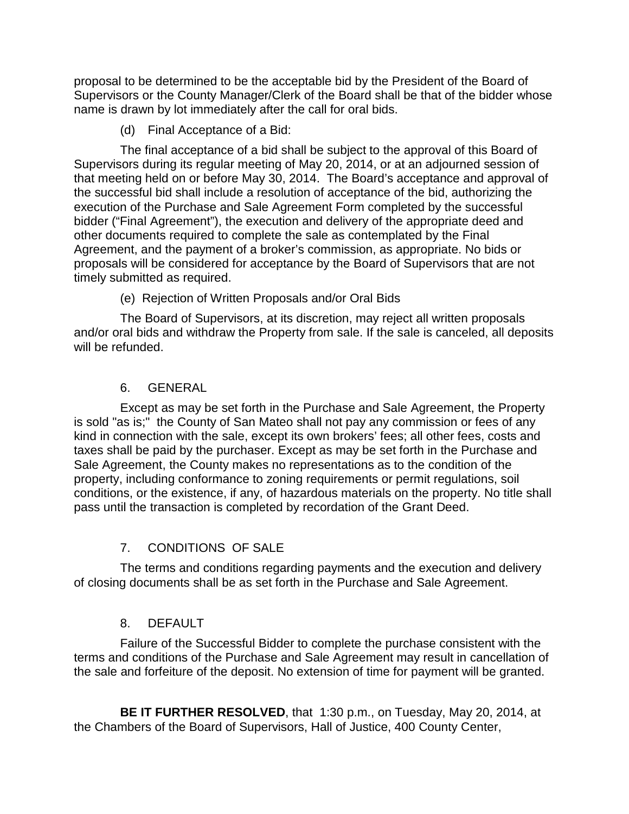proposal to be determined to be the acceptable bid by the President of the Board of Supervisors or the County Manager/Clerk of the Board shall be that of the bidder whose name is drawn by lot immediately after the call for oral bids.

(d) Final Acceptance of a Bid:

The final acceptance of a bid shall be subject to the approval of this Board of Supervisors during its regular meeting of May 20, 2014, or at an adjourned session of that meeting held on or before May 30, 2014. The Board's acceptance and approval of the successful bid shall include a resolution of acceptance of the bid, authorizing the execution of the Purchase and Sale Agreement Form completed by the successful bidder ("Final Agreement"), the execution and delivery of the appropriate deed and other documents required to complete the sale as contemplated by the Final Agreement, and the payment of a broker's commission, as appropriate. No bids or proposals will be considered for acceptance by the Board of Supervisors that are not timely submitted as required.

(e) Rejection of Written Proposals and/or Oral Bids

The Board of Supervisors, at its discretion, may reject all written proposals and/or oral bids and withdraw the Property from sale. If the sale is canceled, all deposits will be refunded.

## 6. GENERAL

Except as may be set forth in the Purchase and Sale Agreement, the Property is sold "as is;" the County of San Mateo shall not pay any commission or fees of any kind in connection with the sale, except its own brokers' fees; all other fees, costs and taxes shall be paid by the purchaser. Except as may be set forth in the Purchase and Sale Agreement, the County makes no representations as to the condition of the property, including conformance to zoning requirements or permit regulations, soil conditions, or the existence, if any, of hazardous materials on the property. No title shall pass until the transaction is completed by recordation of the Grant Deed.

## 7. CONDITIONS OF SALE

The terms and conditions regarding payments and the execution and delivery of closing documents shall be as set forth in the Purchase and Sale Agreement.

## 8. DEFAULT

Failure of the Successful Bidder to complete the purchase consistent with the terms and conditions of the Purchase and Sale Agreement may result in cancellation of the sale and forfeiture of the deposit. No extension of time for payment will be granted.

**BE IT FURTHER RESOLVED**, that 1:30 p.m., on Tuesday, May 20, 2014, at the Chambers of the Board of Supervisors, Hall of Justice, 400 County Center,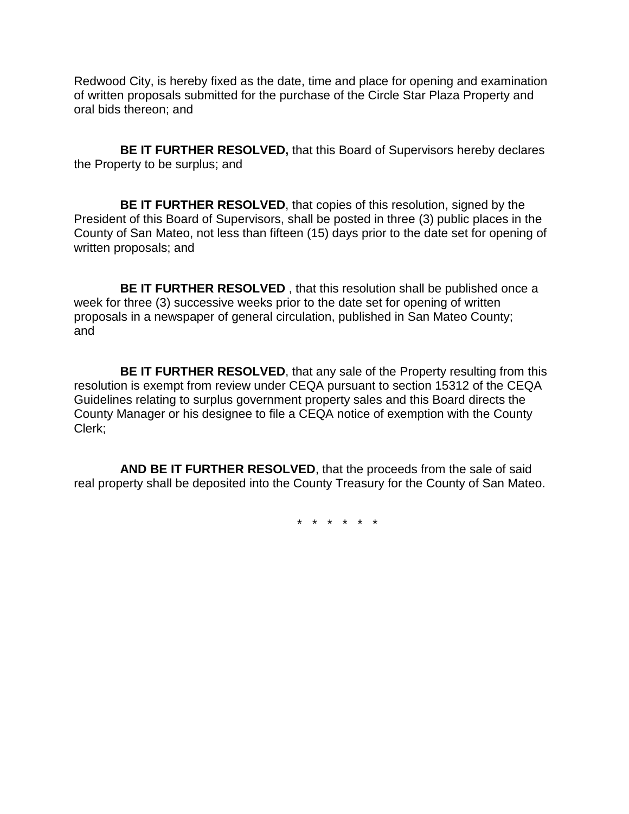Redwood City, is hereby fixed as the date, time and place for opening and examination of written proposals submitted for the purchase of the Circle Star Plaza Property and oral bids thereon; and

**BE IT FURTHER RESOLVED,** that this Board of Supervisors hereby declares the Property to be surplus; and

**BE IT FURTHER RESOLVED**, that copies of this resolution, signed by the President of this Board of Supervisors, shall be posted in three (3) public places in the County of San Mateo, not less than fifteen (15) days prior to the date set for opening of written proposals; and

**BE IT FURTHER RESOLVED** , that this resolution shall be published once a week for three (3) successive weeks prior to the date set for opening of written proposals in a newspaper of general circulation, published in San Mateo County; and

**BE IT FURTHER RESOLVED**, that any sale of the Property resulting from this resolution is exempt from review under CEQA pursuant to section 15312 of the CEQA Guidelines relating to surplus government property sales and this Board directs the County Manager or his designee to file a CEQA notice of exemption with the County Clerk;

**AND BE IT FURTHER RESOLVED**, that the proceeds from the sale of said real property shall be deposited into the County Treasury for the County of San Mateo.

\* \* \* \* \* \*